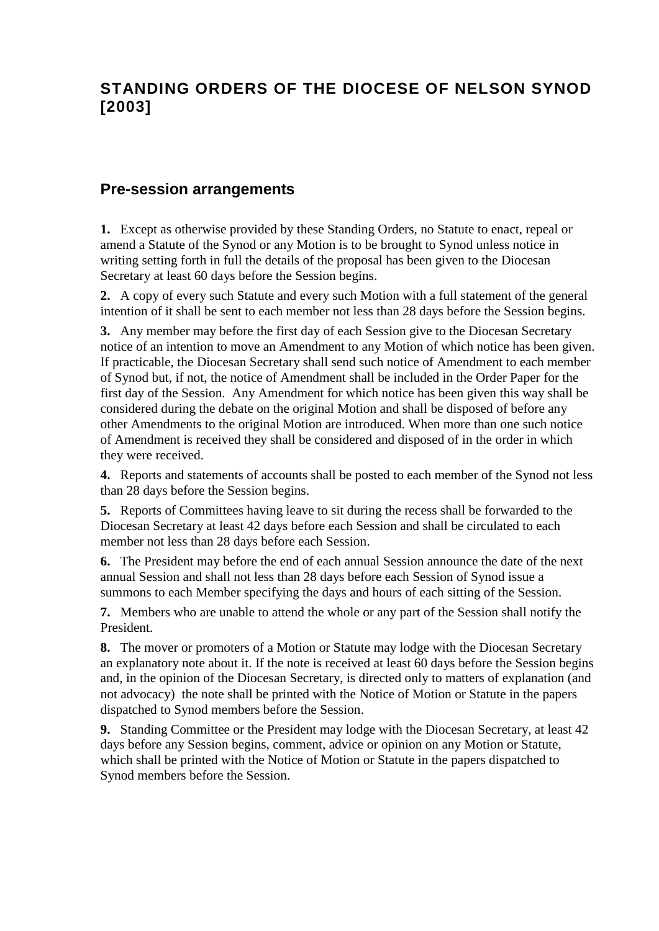# **STANDING ORDERS OF THE DIOCESE OF NELSON SYNOD [2003]**

#### **Pre-session arrangements**

**1.** Except as otherwise provided by these Standing Orders, no Statute to enact, repeal or amend a Statute of the Synod or any Motion is to be brought to Synod unless notice in writing setting forth in full the details of the proposal has been given to the Diocesan Secretary at least 60 days before the Session begins.

**2.** A copy of every such Statute and every such Motion with a full statement of the general intention of it shall be sent to each member not less than 28 days before the Session begins.

**3.** Any member may before the first day of each Session give to the Diocesan Secretary notice of an intention to move an Amendment to any Motion of which notice has been given. If practicable, the Diocesan Secretary shall send such notice of Amendment to each member of Synod but, if not, the notice of Amendment shall be included in the Order Paper for the first day of the Session. Any Amendment for which notice has been given this way shall be considered during the debate on the original Motion and shall be disposed of before any other Amendments to the original Motion are introduced. When more than one such notice of Amendment is received they shall be considered and disposed of in the order in which they were received.

**4.** Reports and statements of accounts shall be posted to each member of the Synod not less than 28 days before the Session begins.

**5.** Reports of Committees having leave to sit during the recess shall be forwarded to the Diocesan Secretary at least 42 days before each Session and shall be circulated to each member not less than 28 days before each Session.

**6.** The President may before the end of each annual Session announce the date of the next annual Session and shall not less than 28 days before each Session of Synod issue a summons to each Member specifying the days and hours of each sitting of the Session.

**7.** Members who are unable to attend the whole or any part of the Session shall notify the President.

**8.** The mover or promoters of a Motion or Statute may lodge with the Diocesan Secretary an explanatory note about it. If the note is received at least 60 days before the Session begins and, in the opinion of the Diocesan Secretary, is directed only to matters of explanation (and not advocacy) the note shall be printed with the Notice of Motion or Statute in the papers dispatched to Synod members before the Session.

**9.** Standing Committee or the President may lodge with the Diocesan Secretary, at least 42 days before any Session begins, comment, advice or opinion on any Motion or Statute, which shall be printed with the Notice of Motion or Statute in the papers dispatched to Synod members before the Session.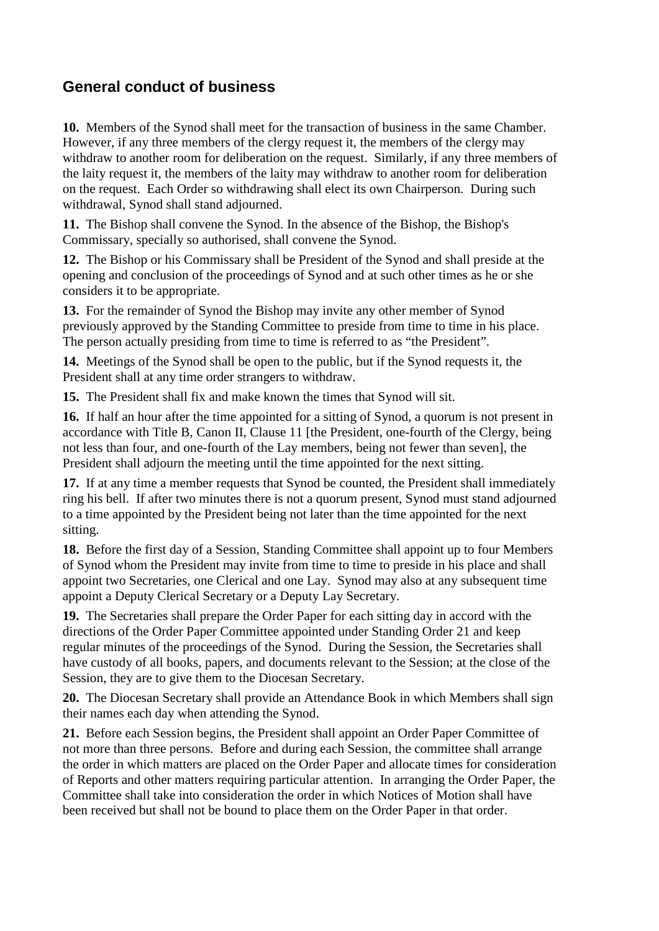## **General conduct of business**

**10.** Members of the Synod shall meet for the transaction of business in the same Chamber. However, if any three members of the clergy request it, the members of the clergy may withdraw to another room for deliberation on the request. Similarly, if any three members of the laity request it, the members of the laity may withdraw to another room for deliberation on the request. Each Order so withdrawing shall elect its own Chairperson. During such withdrawal, Synod shall stand adjourned.

**11.** The Bishop shall convene the Synod. In the absence of the Bishop, the Bishop's Commissary, specially so authorised, shall convene the Synod.

**12.** The Bishop or his Commissary shall be President of the Synod and shall preside at the opening and conclusion of the proceedings of Synod and at such other times as he or she considers it to be appropriate.

**13.** For the remainder of Synod the Bishop may invite any other member of Synod previously approved by the Standing Committee to preside from time to time in his place. The person actually presiding from time to time is referred to as "the President".

**14.** Meetings of the Synod shall be open to the public, but if the Synod requests it, the President shall at any time order strangers to withdraw.

**15.** The President shall fix and make known the times that Synod will sit.

**16.** If half an hour after the time appointed for a sitting of Synod, a quorum is not present in accordance with Title B, Canon II, Clause 11 [the President, one-fourth of the Clergy, being not less than four, and one-fourth of the Lay members, being not fewer than seven], the President shall adjourn the meeting until the time appointed for the next sitting.

**17.** If at any time a member requests that Synod be counted, the President shall immediately ring his bell. If after two minutes there is not a quorum present, Synod must stand adjourned to a time appointed by the President being not later than the time appointed for the next sitting.

**18.** Before the first day of a Session, Standing Committee shall appoint up to four Members of Synod whom the President may invite from time to time to preside in his place and shall appoint two Secretaries, one Clerical and one Lay. Synod may also at any subsequent time appoint a Deputy Clerical Secretary or a Deputy Lay Secretary.

**19.** The Secretaries shall prepare the Order Paper for each sitting day in accord with the directions of the Order Paper Committee appointed under Standing Order 21 and keep regular minutes of the proceedings of the Synod. During the Session, the Secretaries shall have custody of all books, papers, and documents relevant to the Session; at the close of the Session, they are to give them to the Diocesan Secretary.

**20.** The Diocesan Secretary shall provide an Attendance Book in which Members shall sign their names each day when attending the Synod.

**21.** Before each Session begins, the President shall appoint an Order Paper Committee of not more than three persons. Before and during each Session, the committee shall arrange the order in which matters are placed on the Order Paper and allocate times for consideration of Reports and other matters requiring particular attention. In arranging the Order Paper, the Committee shall take into consideration the order in which Notices of Motion shall have been received but shall not be bound to place them on the Order Paper in that order.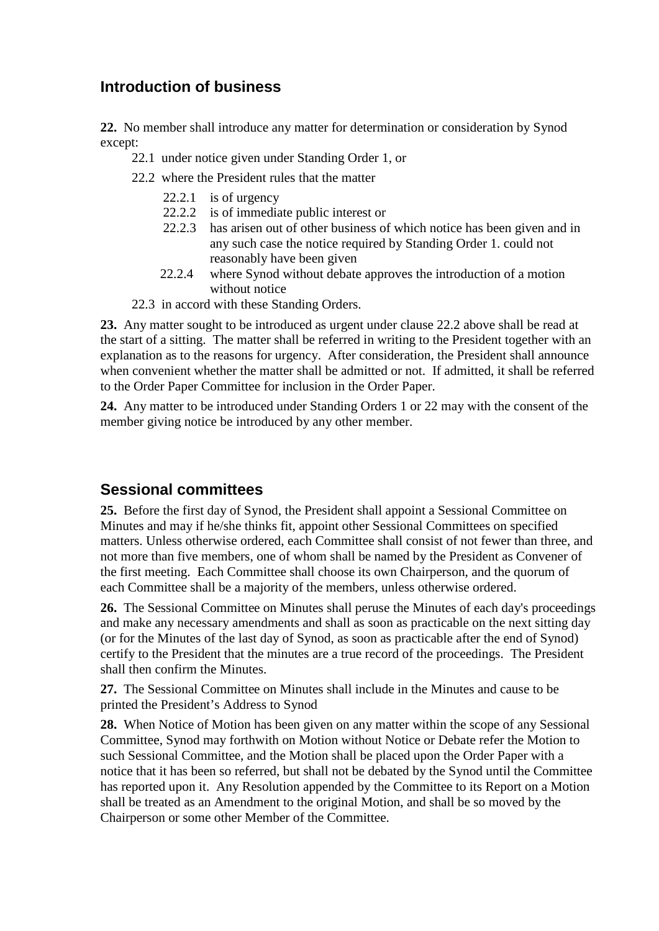## **Introduction of business**

**22.** No member shall introduce any matter for determination or consideration by Synod except:

- 22.1 under notice given under Standing Order 1, or
- 22.2 where the President rules that the matter
	- 22.2.1 is of urgency
	- 22.2.2 is of immediate public interest or<br>22.2.2 has arisen out of other business of
	- has arisen out of other business of which notice has been given and in any such case the notice required by Standing Order 1. could not reasonably have been given
	- 22.2.4 where Synod without debate approves the introduction of a motion without notice
- 22.3 in accord with these Standing Orders.

**23.** Any matter sought to be introduced as urgent under clause 22.2 above shall be read at the start of a sitting. The matter shall be referred in writing to the President together with an explanation as to the reasons for urgency. After consideration, the President shall announce when convenient whether the matter shall be admitted or not. If admitted, it shall be referred to the Order Paper Committee for inclusion in the Order Paper.

**24.** Any matter to be introduced under Standing Orders 1 or 22 may with the consent of the member giving notice be introduced by any other member.

#### **Sessional committees**

**25.** Before the first day of Synod, the President shall appoint a Sessional Committee on Minutes and may if he/she thinks fit, appoint other Sessional Committees on specified matters. Unless otherwise ordered, each Committee shall consist of not fewer than three, and not more than five members, one of whom shall be named by the President as Convener of the first meeting. Each Committee shall choose its own Chairperson, and the quorum of each Committee shall be a majority of the members, unless otherwise ordered.

**26.** The Sessional Committee on Minutes shall peruse the Minutes of each day's proceedings and make any necessary amendments and shall as soon as practicable on the next sitting day (or for the Minutes of the last day of Synod, as soon as practicable after the end of Synod) certify to the President that the minutes are a true record of the proceedings. The President shall then confirm the Minutes.

**27.** The Sessional Committee on Minutes shall include in the Minutes and cause to be printed the President's Address to Synod

**28.** When Notice of Motion has been given on any matter within the scope of any Sessional Committee, Synod may forthwith on Motion without Notice or Debate refer the Motion to such Sessional Committee, and the Motion shall be placed upon the Order Paper with a notice that it has been so referred, but shall not be debated by the Synod until the Committee has reported upon it. Any Resolution appended by the Committee to its Report on a Motion shall be treated as an Amendment to the original Motion, and shall be so moved by the Chairperson or some other Member of the Committee.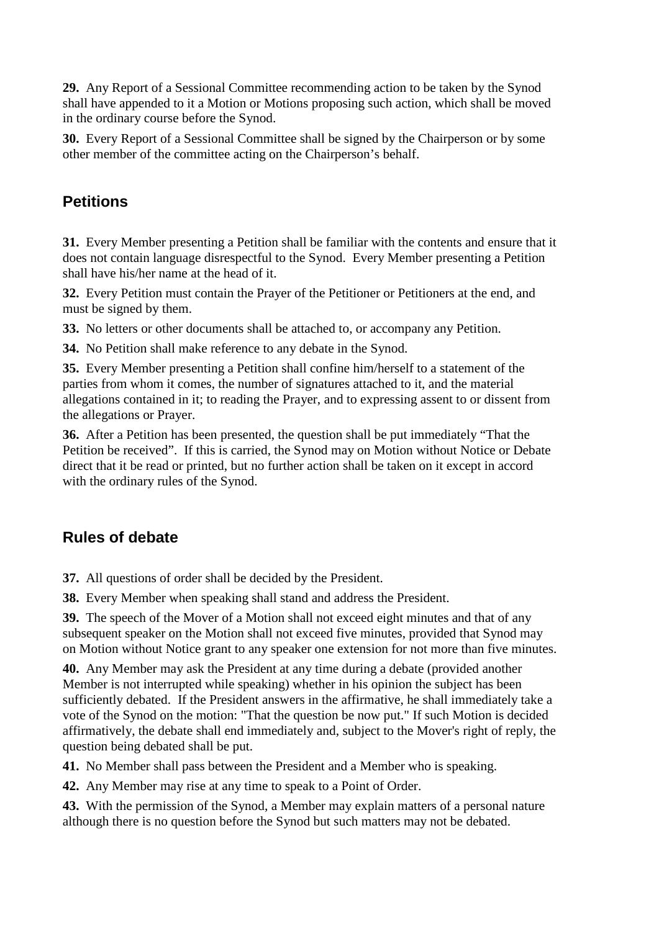**29.** Any Report of a Sessional Committee recommending action to be taken by the Synod shall have appended to it a Motion or Motions proposing such action, which shall be moved in the ordinary course before the Synod.

**30.** Every Report of a Sessional Committee shall be signed by the Chairperson or by some other member of the committee acting on the Chairperson's behalf.

## **Petitions**

**31.** Every Member presenting a Petition shall be familiar with the contents and ensure that it does not contain language disrespectful to the Synod. Every Member presenting a Petition shall have his/her name at the head of it.

**32.** Every Petition must contain the Prayer of the Petitioner or Petitioners at the end, and must be signed by them.

**33.** No letters or other documents shall be attached to, or accompany any Petition.

**34.** No Petition shall make reference to any debate in the Synod.

**35.** Every Member presenting a Petition shall confine him/herself to a statement of the parties from whom it comes, the number of signatures attached to it, and the material allegations contained in it; to reading the Prayer, and to expressing assent to or dissent from the allegations or Prayer.

**36.** After a Petition has been presented, the question shall be put immediately "That the Petition be received". If this is carried, the Synod may on Motion without Notice or Debate direct that it be read or printed, but no further action shall be taken on it except in accord with the ordinary rules of the Synod.

# **Rules of debate**

**37.** All questions of order shall be decided by the President.

**38.** Every Member when speaking shall stand and address the President.

**39.** The speech of the Mover of a Motion shall not exceed eight minutes and that of any subsequent speaker on the Motion shall not exceed five minutes, provided that Synod may on Motion without Notice grant to any speaker one extension for not more than five minutes.

**40.** Any Member may ask the President at any time during a debate (provided another Member is not interrupted while speaking) whether in his opinion the subject has been sufficiently debated. If the President answers in the affirmative, he shall immediately take a vote of the Synod on the motion: "That the question be now put." If such Motion is decided affirmatively, the debate shall end immediately and, subject to the Mover's right of reply, the question being debated shall be put.

**41.** No Member shall pass between the President and a Member who is speaking.

**42.** Any Member may rise at any time to speak to a Point of Order.

**43.** With the permission of the Synod, a Member may explain matters of a personal nature although there is no question before the Synod but such matters may not be debated.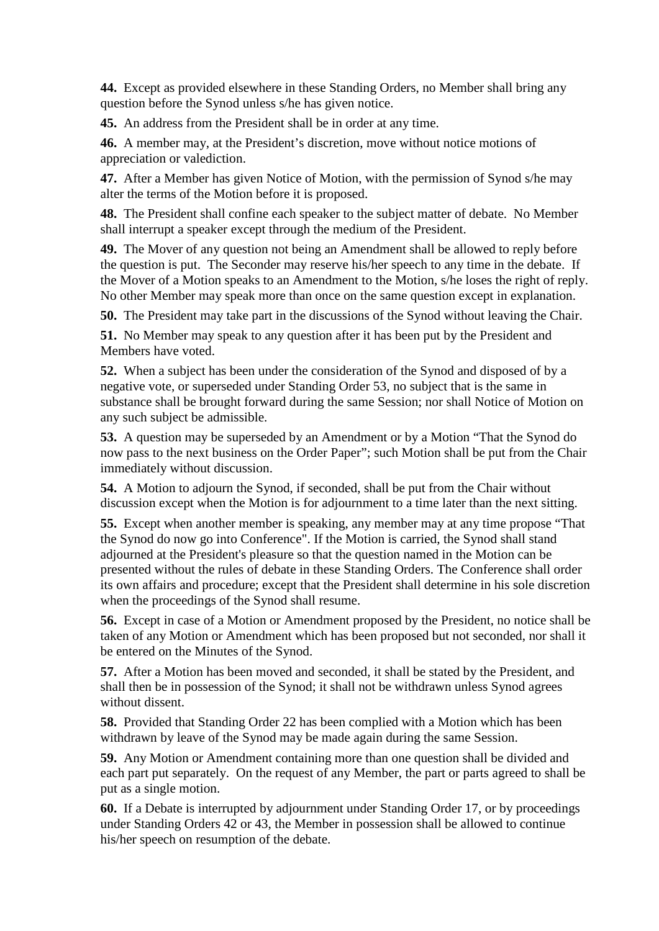**44.** Except as provided elsewhere in these Standing Orders, no Member shall bring any question before the Synod unless s/he has given notice.

**45.** An address from the President shall be in order at any time.

**46.** A member may, at the President's discretion, move without notice motions of appreciation or valediction.

**47.** After a Member has given Notice of Motion, with the permission of Synod s/he may alter the terms of the Motion before it is proposed.

**48.** The President shall confine each speaker to the subject matter of debate. No Member shall interrupt a speaker except through the medium of the President.

**49.** The Mover of any question not being an Amendment shall be allowed to reply before the question is put. The Seconder may reserve his/her speech to any time in the debate. If the Mover of a Motion speaks to an Amendment to the Motion, s/he loses the right of reply. No other Member may speak more than once on the same question except in explanation.

**50.** The President may take part in the discussions of the Synod without leaving the Chair.

**51.** No Member may speak to any question after it has been put by the President and Members have voted.

**52.** When a subject has been under the consideration of the Synod and disposed of by a negative vote, or superseded under Standing Order 53, no subject that is the same in substance shall be brought forward during the same Session; nor shall Notice of Motion on any such subject be admissible.

**53.** A question may be superseded by an Amendment or by a Motion "That the Synod do now pass to the next business on the Order Paper"; such Motion shall be put from the Chair immediately without discussion.

**54.** A Motion to adjourn the Synod, if seconded, shall be put from the Chair without discussion except when the Motion is for adjournment to a time later than the next sitting.

**55.** Except when another member is speaking, any member may at any time propose "That the Synod do now go into Conference". If the Motion is carried, the Synod shall stand adjourned at the President's pleasure so that the question named in the Motion can be presented without the rules of debate in these Standing Orders. The Conference shall order its own affairs and procedure; except that the President shall determine in his sole discretion when the proceedings of the Synod shall resume.

**56.** Except in case of a Motion or Amendment proposed by the President, no notice shall be taken of any Motion or Amendment which has been proposed but not seconded, nor shall it be entered on the Minutes of the Synod.

**57.** After a Motion has been moved and seconded, it shall be stated by the President, and shall then be in possession of the Synod; it shall not be withdrawn unless Synod agrees without dissent.

**58.** Provided that Standing Order 22 has been complied with a Motion which has been withdrawn by leave of the Synod may be made again during the same Session.

**59.** Any Motion or Amendment containing more than one question shall be divided and each part put separately. On the request of any Member, the part or parts agreed to shall be put as a single motion.

**60.** If a Debate is interrupted by adjournment under Standing Order 17, or by proceedings under Standing Orders 42 or 43, the Member in possession shall be allowed to continue his/her speech on resumption of the debate.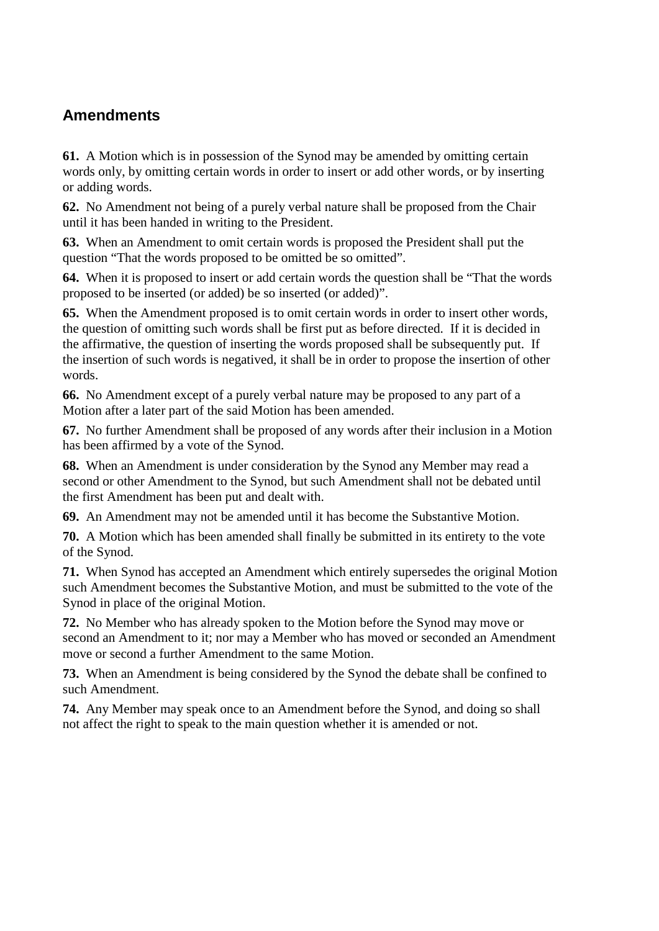# **Amendments**

**61.** A Motion which is in possession of the Synod may be amended by omitting certain words only, by omitting certain words in order to insert or add other words, or by inserting or adding words.

**62.** No Amendment not being of a purely verbal nature shall be proposed from the Chair until it has been handed in writing to the President.

**63.** When an Amendment to omit certain words is proposed the President shall put the question "That the words proposed to be omitted be so omitted".

**64.** When it is proposed to insert or add certain words the question shall be "That the words proposed to be inserted (or added) be so inserted (or added)".

**65.** When the Amendment proposed is to omit certain words in order to insert other words, the question of omitting such words shall be first put as before directed. If it is decided in the affirmative, the question of inserting the words proposed shall be subsequently put. If the insertion of such words is negatived, it shall be in order to propose the insertion of other words.

**66.** No Amendment except of a purely verbal nature may be proposed to any part of a Motion after a later part of the said Motion has been amended.

**67.** No further Amendment shall be proposed of any words after their inclusion in a Motion has been affirmed by a vote of the Synod.

**68.** When an Amendment is under consideration by the Synod any Member may read a second or other Amendment to the Synod, but such Amendment shall not be debated until the first Amendment has been put and dealt with.

**69.** An Amendment may not be amended until it has become the Substantive Motion.

**70.** A Motion which has been amended shall finally be submitted in its entirety to the vote of the Synod.

**71.** When Synod has accepted an Amendment which entirely supersedes the original Motion such Amendment becomes the Substantive Motion, and must be submitted to the vote of the Synod in place of the original Motion.

**72.** No Member who has already spoken to the Motion before the Synod may move or second an Amendment to it; nor may a Member who has moved or seconded an Amendment move or second a further Amendment to the same Motion.

**73.** When an Amendment is being considered by the Synod the debate shall be confined to such Amendment.

**74.** Any Member may speak once to an Amendment before the Synod, and doing so shall not affect the right to speak to the main question whether it is amended or not.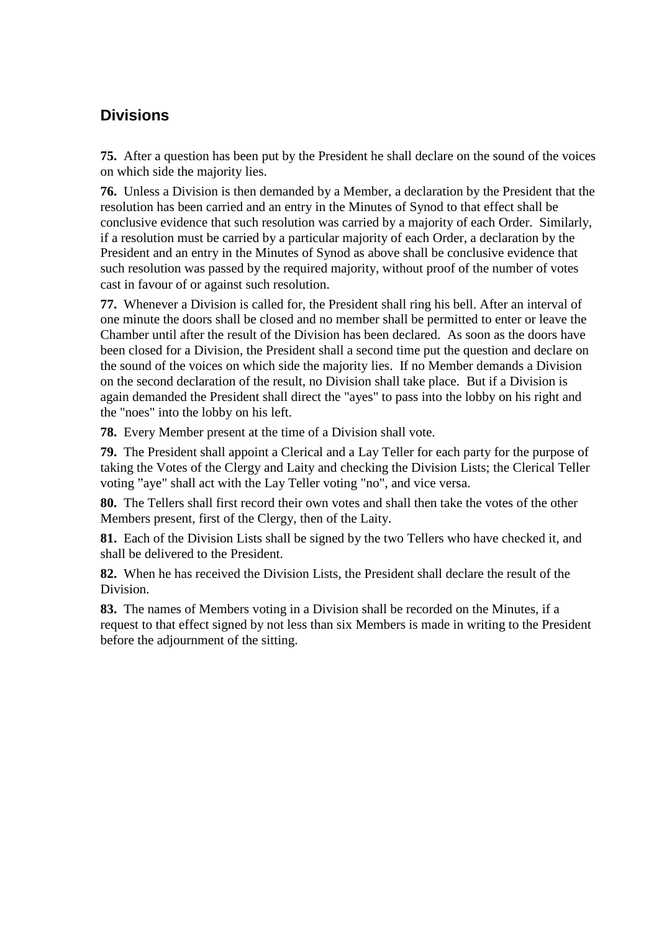# **Divisions**

**75.** After a question has been put by the President he shall declare on the sound of the voices on which side the majority lies.

**76.** Unless a Division is then demanded by a Member, a declaration by the President that the resolution has been carried and an entry in the Minutes of Synod to that effect shall be conclusive evidence that such resolution was carried by a majority of each Order. Similarly, if a resolution must be carried by a particular majority of each Order, a declaration by the President and an entry in the Minutes of Synod as above shall be conclusive evidence that such resolution was passed by the required majority, without proof of the number of votes cast in favour of or against such resolution.

**77.** Whenever a Division is called for, the President shall ring his bell. After an interval of one minute the doors shall be closed and no member shall be permitted to enter or leave the Chamber until after the result of the Division has been declared. As soon as the doors have been closed for a Division, the President shall a second time put the question and declare on the sound of the voices on which side the majority lies. If no Member demands a Division on the second declaration of the result, no Division shall take place. But if a Division is again demanded the President shall direct the "ayes" to pass into the lobby on his right and the "noes" into the lobby on his left.

**78.** Every Member present at the time of a Division shall vote.

**79.** The President shall appoint a Clerical and a Lay Teller for each party for the purpose of taking the Votes of the Clergy and Laity and checking the Division Lists; the Clerical Teller voting "aye" shall act with the Lay Teller voting "no", and vice versa.

**80.** The Tellers shall first record their own votes and shall then take the votes of the other Members present, first of the Clergy, then of the Laity.

**81.** Each of the Division Lists shall be signed by the two Tellers who have checked it, and shall be delivered to the President.

**82.** When he has received the Division Lists, the President shall declare the result of the Division.

**83.** The names of Members voting in a Division shall be recorded on the Minutes, if a request to that effect signed by not less than six Members is made in writing to the President before the adjournment of the sitting.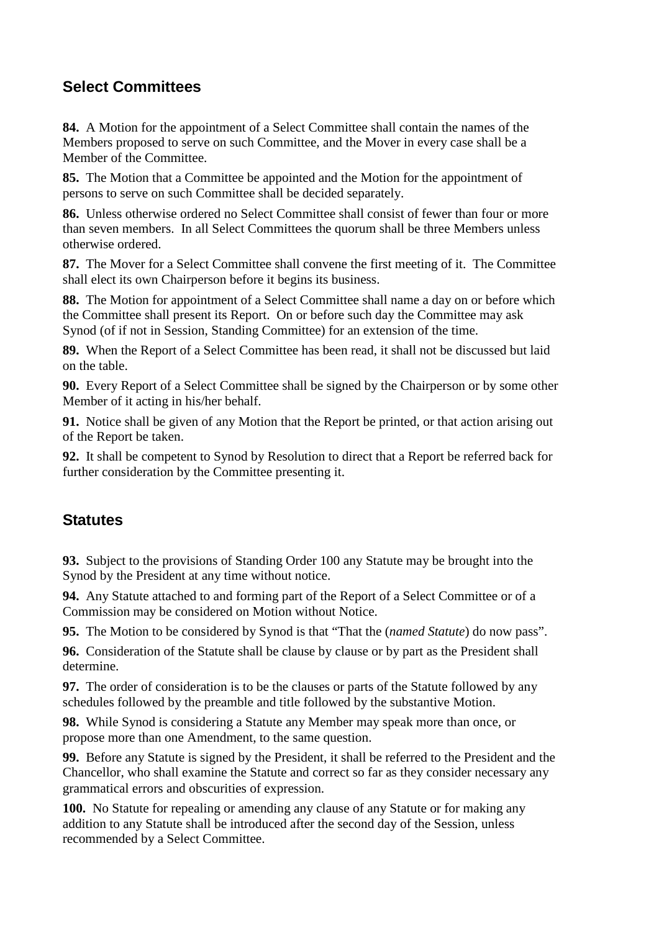# **Select Committees**

**84.** A Motion for the appointment of a Select Committee shall contain the names of the Members proposed to serve on such Committee, and the Mover in every case shall be a Member of the Committee.

**85.** The Motion that a Committee be appointed and the Motion for the appointment of persons to serve on such Committee shall be decided separately.

**86.** Unless otherwise ordered no Select Committee shall consist of fewer than four or more than seven members. In all Select Committees the quorum shall be three Members unless otherwise ordered.

**87.** The Mover for a Select Committee shall convene the first meeting of it. The Committee shall elect its own Chairperson before it begins its business.

**88.** The Motion for appointment of a Select Committee shall name a day on or before which the Committee shall present its Report. On or before such day the Committee may ask Synod (of if not in Session, Standing Committee) for an extension of the time.

**89.** When the Report of a Select Committee has been read, it shall not be discussed but laid on the table.

**90.** Every Report of a Select Committee shall be signed by the Chairperson or by some other Member of it acting in his/her behalf.

**91.** Notice shall be given of any Motion that the Report be printed, or that action arising out of the Report be taken.

**92.** It shall be competent to Synod by Resolution to direct that a Report be referred back for further consideration by the Committee presenting it.

## **Statutes**

**93.** Subject to the provisions of Standing Order 100 any Statute may be brought into the Synod by the President at any time without notice.

**94.** Any Statute attached to and forming part of the Report of a Select Committee or of a Commission may be considered on Motion without Notice.

**95.** The Motion to be considered by Synod is that "That the (*named Statute*) do now pass".

**96.** Consideration of the Statute shall be clause by clause or by part as the President shall determine.

**97.** The order of consideration is to be the clauses or parts of the Statute followed by any schedules followed by the preamble and title followed by the substantive Motion.

**98.** While Synod is considering a Statute any Member may speak more than once, or propose more than one Amendment, to the same question.

**99.** Before any Statute is signed by the President, it shall be referred to the President and the Chancellor, who shall examine the Statute and correct so far as they consider necessary any grammatical errors and obscurities of expression.

**100.** No Statute for repealing or amending any clause of any Statute or for making any addition to any Statute shall be introduced after the second day of the Session, unless recommended by a Select Committee.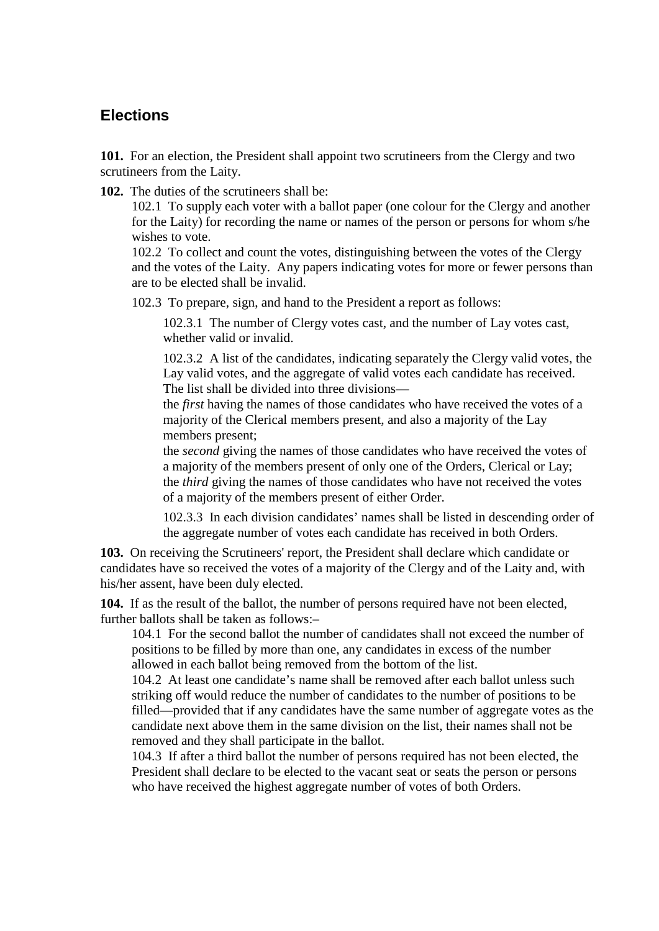#### **Elections**

**101.** For an election, the President shall appoint two scrutineers from the Clergy and two scrutineers from the Laity.

**102.** The duties of the scrutineers shall be:

102.1 To supply each voter with a ballot paper (one colour for the Clergy and another for the Laity) for recording the name or names of the person or persons for whom s/he wishes to vote.

102.2 To collect and count the votes, distinguishing between the votes of the Clergy and the votes of the Laity. Any papers indicating votes for more or fewer persons than are to be elected shall be invalid.

102.3 To prepare, sign, and hand to the President a report as follows:

102.3.1 The number of Clergy votes cast, and the number of Lay votes cast, whether valid or invalid.

102.3.2 A list of the candidates, indicating separately the Clergy valid votes, the Lay valid votes, and the aggregate of valid votes each candidate has received. The list shall be divided into three divisions—

the *first* having the names of those candidates who have received the votes of a majority of the Clerical members present, and also a majority of the Lay members present;

the *second* giving the names of those candidates who have received the votes of a majority of the members present of only one of the Orders, Clerical or Lay; the *third* giving the names of those candidates who have not received the votes of a majority of the members present of either Order.

102.3.3 In each division candidates' names shall be listed in descending order of the aggregate number of votes each candidate has received in both Orders.

**103.** On receiving the Scrutineers' report, the President shall declare which candidate or candidates have so received the votes of a majority of the Clergy and of the Laity and, with his/her assent, have been duly elected.

**104.** If as the result of the ballot, the number of persons required have not been elected, further ballots shall be taken as follows:–

104.1 For the second ballot the number of candidates shall not exceed the number of positions to be filled by more than one, any candidates in excess of the number allowed in each ballot being removed from the bottom of the list.

104.2 At least one candidate's name shall be removed after each ballot unless such striking off would reduce the number of candidates to the number of positions to be filled—provided that if any candidates have the same number of aggregate votes as the candidate next above them in the same division on the list, their names shall not be removed and they shall participate in the ballot.

104.3 If after a third ballot the number of persons required has not been elected, the President shall declare to be elected to the vacant seat or seats the person or persons who have received the highest aggregate number of votes of both Orders.